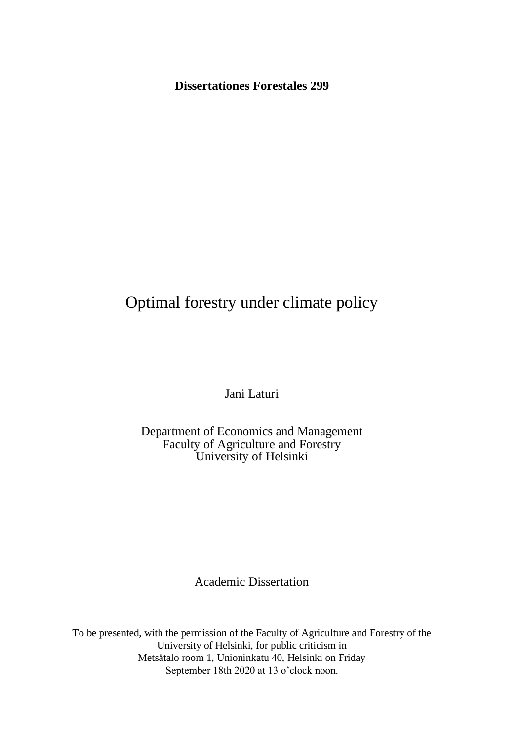**Dissertationes Forestales 299**

# Optimal forestry under climate policy

Jani Laturi

Department of Economics and Management Faculty of Agriculture and Forestry University of Helsinki

Academic Dissertation

To be presented, with the permission of the Faculty of Agriculture and Forestry of the University of Helsinki, for public criticism in Metsätalo room 1, Unioninkatu 40, Helsinki on Friday September 18th 2020 at 13 o'clock noon.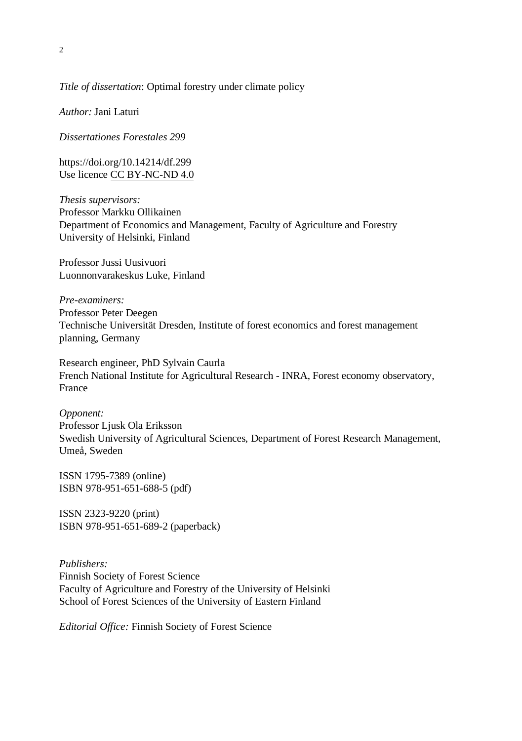*Title of dissertation*: Optimal forestry under climate policy

*Author:* Jani Laturi

*Dissertationes Forestales 299* 

<https://doi.org/10.14214/df.299> Use licence [CC BY-NC-ND 4.0](https://creativecommons.org/licenses/by-nc-nd/4.0/)

*Thesis supervisors:*  Professor Markku Ollikainen Department of Economics and Management, Faculty of Agriculture and Forestry University of Helsinki, Finland

Professor Jussi Uusivuori Luonnonvarakeskus Luke, Finland

*Pre-examiners:*  Professor Peter Deegen Technische Universität Dresden, Institute of forest economics and forest management planning, Germany

Research engineer, PhD Sylvain Caurla French National Institute for Agricultural Research - INRA, Forest economy observatory, France

*Opponent:*  Professor Ljusk Ola Eriksson Swedish University of Agricultural Sciences, Department of Forest Research Management, Umeå, Sweden

ISSN 1795-7389 (online) ISBN 978-951-651-688-5 (pdf)

ISSN 2323-9220 (print) ISBN 978-951-651-689-2 (paperback)

*Publishers:*  Finnish Society of Forest Science Faculty of Agriculture and Forestry of the University of Helsinki School of Forest Sciences of the University of Eastern Finland

*Editorial Office:* Finnish Society of Forest Science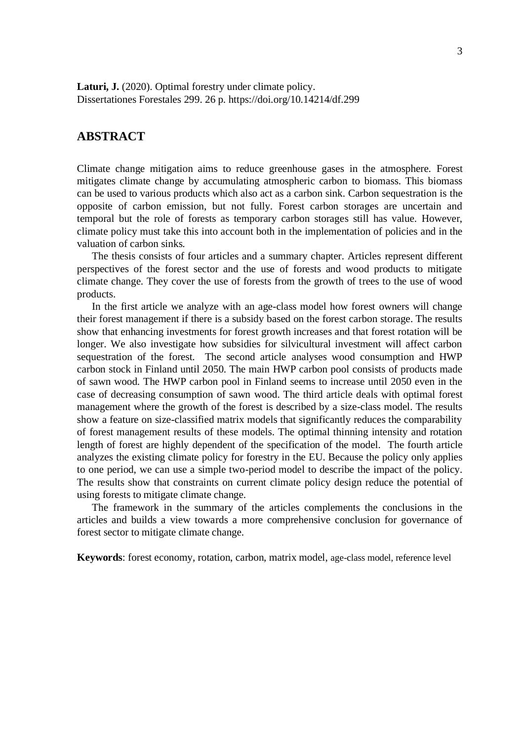### <span id="page-2-0"></span>**ABSTRACT**

Climate change mitigation aims to reduce greenhouse gases in the atmosphere. Forest mitigates climate change by accumulating atmospheric carbon to biomass. This biomass can be used to various products which also act as a carbon sink. Carbon sequestration is the opposite of carbon emission, but not fully. Forest carbon storages are uncertain and temporal but the role of forests as temporary carbon storages still has value. However, climate policy must take this into account both in the implementation of policies and in the valuation of carbon sinks.

The thesis consists of four articles and a summary chapter. Articles represent different perspectives of the forest sector and the use of forests and wood products to mitigate climate change. They cover the use of forests from the growth of trees to the use of wood products.

In the first article we analyze with an age-class model how forest owners will change their forest management if there is a subsidy based on the forest carbon storage. The results show that enhancing investments for forest growth increases and that forest rotation will be longer. We also investigate how subsidies for silvicultural investment will affect carbon sequestration of the forest. The second article analyses wood consumption and HWP carbon stock in Finland until 2050. The main HWP carbon pool consists of products made of sawn wood. The HWP carbon pool in Finland seems to increase until 2050 even in the case of decreasing consumption of sawn wood. The third article deals with optimal forest management where the growth of the forest is described by a size-class model. The results show a feature on size-classified matrix models that significantly reduces the comparability of forest management results of these models. The optimal thinning intensity and rotation length of forest are highly dependent of the specification of the model. The fourth article analyzes the existing climate policy for forestry in the EU. Because the policy only applies to one period, we can use a simple two-period model to describe the impact of the policy. The results show that constraints on current climate policy design reduce the potential of using forests to mitigate climate change.

The framework in the summary of the articles complements the conclusions in the articles and builds a view towards a more comprehensive conclusion for governance of forest sector to mitigate climate change.

**Keywords**: forest economy, rotation, carbon, matrix model, age-class model, reference level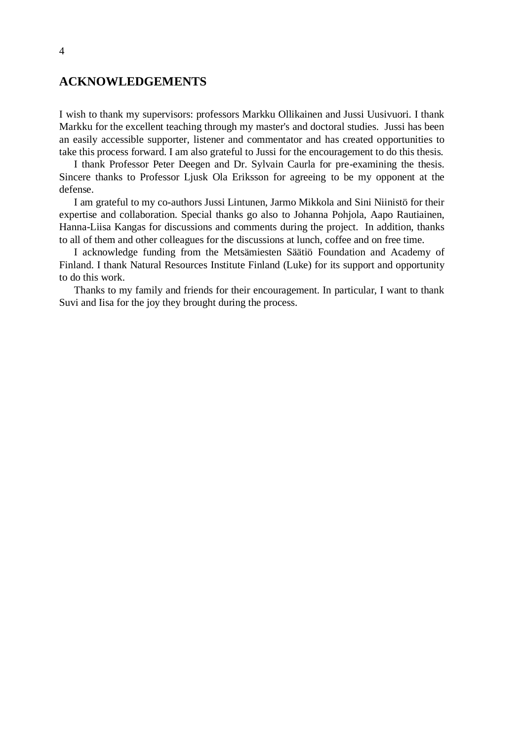### <span id="page-3-0"></span>**ACKNOWLEDGEMENTS**

I wish to thank my supervisors: professors Markku Ollikainen and Jussi Uusivuori. I thank Markku for the excellent teaching through my master's and doctoral studies. Jussi has been an easily accessible supporter, listener and commentator and has created opportunities to take this process forward. I am also grateful to Jussi for the encouragement to do this thesis.

I thank Professor Peter Deegen and Dr. Sylvain Caurla for pre-examining the thesis. Sincere thanks to Professor Ljusk Ola Eriksson for agreeing to be my opponent at the defense.

I am grateful to my co-authors Jussi Lintunen, Jarmo Mikkola and Sini Niinistö for their expertise and collaboration. Special thanks go also to Johanna Pohjola, Aapo Rautiainen, Hanna-Liisa Kangas for discussions and comments during the project. In addition, thanks to all of them and other colleagues for the discussions at lunch, coffee and on free time.

I acknowledge funding from the Metsämiesten Säätiö Foundation and Academy of Finland. I thank Natural Resources Institute Finland (Luke) for its support and opportunity to do this work.

Thanks to my family and friends for their encouragement. In particular, I want to thank Suvi and Iisa for the joy they brought during the process.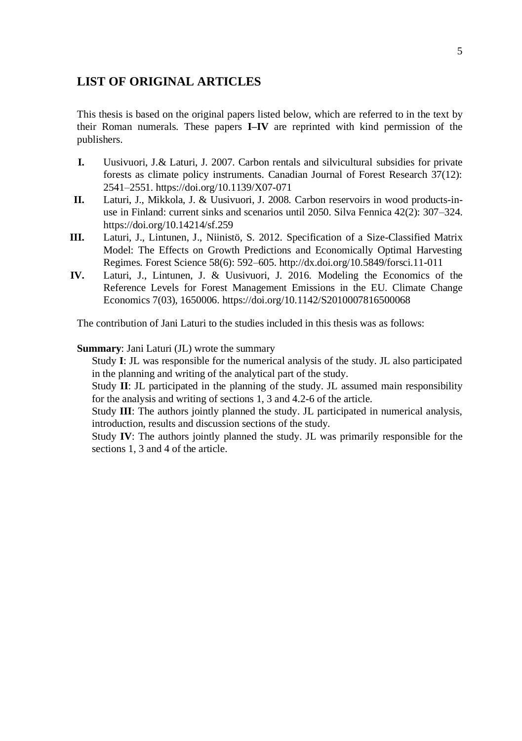### <span id="page-4-0"></span>**LIST OF ORIGINAL ARTICLES**

This thesis is based on the original papers listed below, which are referred to in the text by their Roman numerals. These papers **I–IV** are reprinted with kind permission of the publishers.

- **I.** Uusivuori, J.& Laturi, J. 2007. Carbon rentals and silvicultural subsidies for private forests as climate policy instruments. Canadian Journal of Forest Research 37(12): 2541–2551. <https://doi.org/10.1139/X07-071>
- **II.** Laturi, J., Mikkola, J. & Uusivuori, J. 2008. Carbon reservoirs in wood products-inuse in Finland: current sinks and scenarios until 2050. Silva Fennica 42(2): 307–324. <https://doi.org/10.14214/sf.259>
- **III.** Laturi, J., Lintunen, J., Niinistö, S. 2012. Specification of a Size-Classified Matrix Model: The Effects on Growth Predictions and Economically Optimal Harvesting Regimes. Forest Science 58(6): 592–605. http://dx.doi.org/10.5849/forsci.11-011
- **IV.** Laturi, J., Lintunen, J. & Uusivuori, J. 2016. Modeling the Economics of the Reference Levels for Forest Management Emissions in the EU. Climate Change Economics 7(03), 1650006. <https://doi.org/10.1142/S2010007816500068>

The contribution of Jani Laturi to the studies included in this thesis was as follows:

#### **Summary**: Jani Laturi (JL) wrote the summary

Study **I**: JL was responsible for the numerical analysis of the study. JL also participated in the planning and writing of the analytical part of the study.

Study **II**: JL participated in the planning of the study. JL assumed main responsibility for the analysis and writing of sections 1, 3 and 4.2-6 of the article.

Study **III**: The authors jointly planned the study. JL participated in numerical analysis, introduction, results and discussion sections of the study.

Study **IV**: The authors jointly planned the study. JL was primarily responsible for the sections 1, 3 and 4 of the article.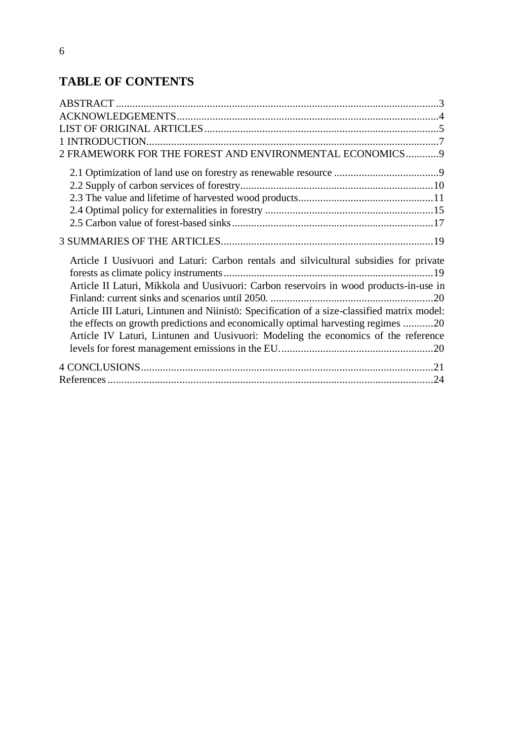## **TABLE OF CONTENTS**

| 2 FRAMEWORK FOR THE FOREST AND ENVIRONMENTAL ECONOMICS 9<br>Article I Uusivuori and Laturi: Carbon rentals and silvicultural subsidies for private<br>Article II Laturi, Mikkola and Uusivuori: Carbon reservoirs in wood products-in-use in<br>Article III Laturi, Lintunen and Niinistö: Specification of a size-classified matrix model:<br>the effects on growth predictions and economically optimal harvesting regimes 20<br>Article IV Laturi, Lintunen and Uusivuori: Modeling the economics of the reference |  |
|-----------------------------------------------------------------------------------------------------------------------------------------------------------------------------------------------------------------------------------------------------------------------------------------------------------------------------------------------------------------------------------------------------------------------------------------------------------------------------------------------------------------------|--|
|                                                                                                                                                                                                                                                                                                                                                                                                                                                                                                                       |  |
|                                                                                                                                                                                                                                                                                                                                                                                                                                                                                                                       |  |
|                                                                                                                                                                                                                                                                                                                                                                                                                                                                                                                       |  |
|                                                                                                                                                                                                                                                                                                                                                                                                                                                                                                                       |  |
|                                                                                                                                                                                                                                                                                                                                                                                                                                                                                                                       |  |
|                                                                                                                                                                                                                                                                                                                                                                                                                                                                                                                       |  |
|                                                                                                                                                                                                                                                                                                                                                                                                                                                                                                                       |  |
|                                                                                                                                                                                                                                                                                                                                                                                                                                                                                                                       |  |
|                                                                                                                                                                                                                                                                                                                                                                                                                                                                                                                       |  |
|                                                                                                                                                                                                                                                                                                                                                                                                                                                                                                                       |  |
|                                                                                                                                                                                                                                                                                                                                                                                                                                                                                                                       |  |
|                                                                                                                                                                                                                                                                                                                                                                                                                                                                                                                       |  |
|                                                                                                                                                                                                                                                                                                                                                                                                                                                                                                                       |  |
|                                                                                                                                                                                                                                                                                                                                                                                                                                                                                                                       |  |
|                                                                                                                                                                                                                                                                                                                                                                                                                                                                                                                       |  |
|                                                                                                                                                                                                                                                                                                                                                                                                                                                                                                                       |  |
|                                                                                                                                                                                                                                                                                                                                                                                                                                                                                                                       |  |
|                                                                                                                                                                                                                                                                                                                                                                                                                                                                                                                       |  |
|                                                                                                                                                                                                                                                                                                                                                                                                                                                                                                                       |  |
|                                                                                                                                                                                                                                                                                                                                                                                                                                                                                                                       |  |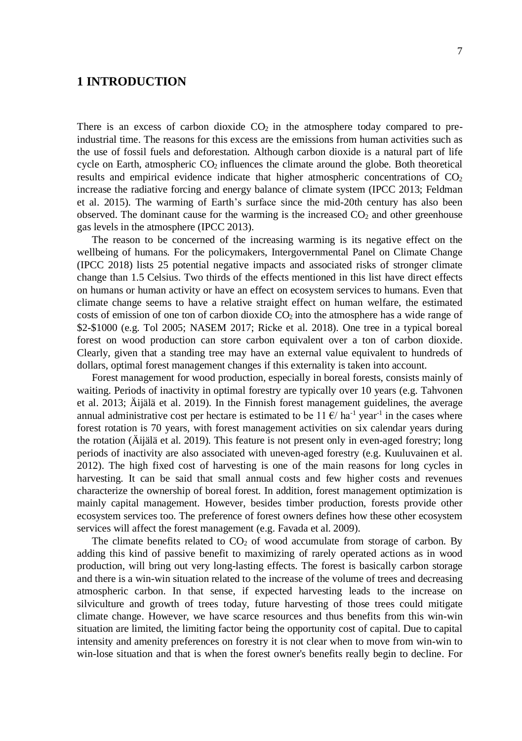### <span id="page-6-0"></span>**1 INTRODUCTION**

There is an excess of carbon dioxide  $CO<sub>2</sub>$  in the atmosphere today compared to preindustrial time. The reasons for this excess are the emissions from human activities such as the use of fossil fuels and deforestation. Although carbon dioxide is a natural part of life cycle on Earth, atmospheric  $CO<sub>2</sub>$  influences the climate around the globe. Both theoretical results and empirical evidence indicate that higher atmospheric concentrations of  $CO<sub>2</sub>$ increase the radiative forcing and energy balance of climate system (IPCC 2013; Feldman et al. 2015). The warming of Earth's surface since the mid-20th century has also been observed. The dominant cause for the warming is the increased  $CO<sub>2</sub>$  and other greenhouse gas levels in the atmosphere (IPCC 2013).

The reason to be concerned of the increasing warming is its negative effect on the wellbeing of humans. For the policymakers, Intergovernmental Panel on Climate Change (IPCC 2018) lists 25 potential negative impacts and associated risks of stronger climate change than 1.5 Celsius. Two thirds of the effects mentioned in this list have direct effects on humans or human activity or have an effect on ecosystem services to humans. Even that climate change seems to have a relative straight effect on human welfare, the estimated costs of emission of one ton of carbon dioxide  $CO<sub>2</sub>$  into the atmosphere has a wide range of \$2-\$1000 (e.g. Tol 2005; NASEM 2017; Ricke et al. 2018). One tree in a typical boreal forest on wood production can store carbon equivalent over a ton of carbon dioxide. Clearly, given that a standing tree may have an external value equivalent to hundreds of dollars, optimal forest management changes if this externality is taken into account.

Forest management for wood production, especially in boreal forests, consists mainly of waiting. Periods of inactivity in optimal forestry are typically over 10 years (e.g. Tahvonen et al. 2013; Äijälä et al. 2019). In the Finnish forest management guidelines, the average annual administrative cost per hectare is estimated to be  $11 \text{ E/ha}^{-1}$  year<sup>-1</sup> in the cases where forest rotation is 70 years, with forest management activities on six calendar years during the rotation (Äijälä et al. 2019). This feature is not present only in even-aged forestry; long periods of inactivity are also associated with uneven-aged forestry (e.g. Kuuluvainen et al. 2012). The high fixed cost of harvesting is one of the main reasons for long cycles in harvesting. It can be said that small annual costs and few higher costs and revenues characterize the ownership of boreal forest. In addition, forest management optimization is mainly capital management. However, besides timber production, forests provide other ecosystem services too. The preference of forest owners defines how these other ecosystem services will affect the forest management (e.g. Favada et al. 2009).

The climate benefits related to  $CO<sub>2</sub>$  of wood accumulate from storage of carbon. By adding this kind of passive benefit to maximizing of rarely operated actions as in wood production, will bring out very long-lasting effects. The forest is basically carbon storage and there is a win-win situation related to the increase of the volume of trees and decreasing atmospheric carbon. In that sense, if expected harvesting leads to the increase on silviculture and growth of trees today, future harvesting of those trees could mitigate climate change. However, we have scarce resources and thus benefits from this win-win situation are limited, the limiting factor being the opportunity cost of capital. Due to capital intensity and amenity preferences on forestry it is not clear when to move from win-win to win-lose situation and that is when the forest owner's benefits really begin to decline. For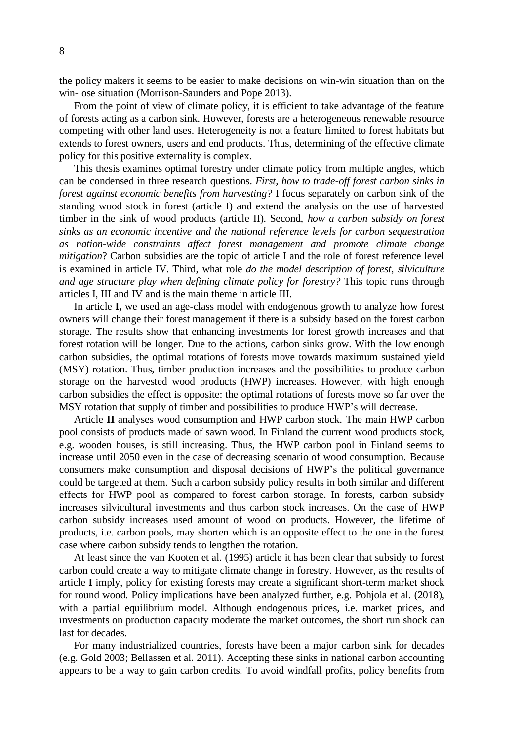the policy makers it seems to be easier to make decisions on win-win situation than on the win-lose situation (Morrison-Saunders and Pope 2013).

From the point of view of climate policy, it is efficient to take advantage of the feature of forests acting as a carbon sink. However, forests are a heterogeneous renewable resource competing with other land uses. Heterogeneity is not a feature limited to forest habitats but extends to forest owners, users and end products. Thus, determining of the effective climate policy for this positive externality is complex.

This thesis examines optimal forestry under climate policy from multiple angles, which can be condensed in three research questions. *First, how to trade-off forest carbon sinks in forest against economic benefits from harvesting?* I focus separately on carbon sink of the standing wood stock in forest (article I) and extend the analysis on the use of harvested timber in the sink of wood products (article II). Second, *how a carbon subsidy on forest sinks as an economic incentive and the national reference levels for carbon sequestration as nation-wide constraints affect forest management and promote climate change mitigation*? Carbon subsidies are the topic of article I and the role of forest reference level is examined in article IV. Third, what role *do the model description of forest, silviculture and age structure play when defining climate policy for forestry?* This topic runs through articles I, III and IV and is the main theme in article III.

In article **I,** we used an age-class model with endogenous growth to analyze how forest owners will change their forest management if there is a subsidy based on the forest carbon storage. The results show that enhancing investments for forest growth increases and that forest rotation will be longer. Due to the actions, carbon sinks grow. With the low enough carbon subsidies, the optimal rotations of forests move towards maximum sustained yield (MSY) rotation. Thus, timber production increases and the possibilities to produce carbon storage on the harvested wood products (HWP) increases. However, with high enough carbon subsidies the effect is opposite: the optimal rotations of forests move so far over the MSY rotation that supply of timber and possibilities to produce HWP's will decrease.

Article **II** analyses wood consumption and HWP carbon stock. The main HWP carbon pool consists of products made of sawn wood. In Finland the current wood products stock, e.g. wooden houses, is still increasing. Thus, the HWP carbon pool in Finland seems to increase until 2050 even in the case of decreasing scenario of wood consumption. Because consumers make consumption and disposal decisions of HWP's the political governance could be targeted at them. Such a carbon subsidy policy results in both similar and different effects for HWP pool as compared to forest carbon storage. In forests, carbon subsidy increases silvicultural investments and thus carbon stock increases. On the case of HWP carbon subsidy increases used amount of wood on products. However, the lifetime of products, i.e. carbon pools, may shorten which is an opposite effect to the one in the forest case where carbon subsidy tends to lengthen the rotation.

At least since the van Kooten et al. (1995) article it has been clear that subsidy to forest carbon could create a way to mitigate climate change in forestry. However, as the results of article **I** imply, policy for existing forests may create a significant short-term market shock for round wood. Policy implications have been analyzed further, e.g. Pohjola et al. (2018), with a partial equilibrium model. Although endogenous prices, i.e. market prices, and investments on production capacity moderate the market outcomes, the short run shock can last for decades.

For many industrialized countries, forests have been a major carbon sink for decades (e.g. Gold 2003; Bellassen et al. 2011). Accepting these sinks in national carbon accounting appears to be a way to gain carbon credits. To avoid windfall profits, policy benefits from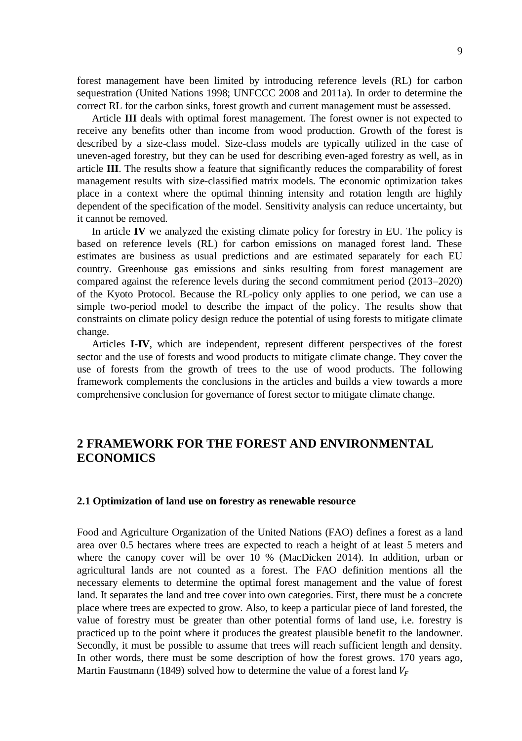forest management have been limited by introducing reference levels (RL) for carbon sequestration (United Nations 1998; UNFCCC 2008 and 2011a). In order to determine the correct RL for the carbon sinks, forest growth and current management must be assessed.

Article **III** deals with optimal forest management. The forest owner is not expected to receive any benefits other than income from wood production. Growth of the forest is described by a size-class model. Size-class models are typically utilized in the case of uneven-aged forestry, but they can be used for describing even-aged forestry as well, as in article **III**. The results show a feature that significantly reduces the comparability of forest management results with size-classified matrix models. The economic optimization takes place in a context where the optimal thinning intensity and rotation length are highly dependent of the specification of the model. Sensitivity analysis can reduce uncertainty, but it cannot be removed.

In article **IV** we analyzed the existing climate policy for forestry in EU. The policy is based on reference levels (RL) for carbon emissions on managed forest land. These estimates are business as usual predictions and are estimated separately for each EU country. Greenhouse gas emissions and sinks resulting from forest management are compared against the reference levels during the second commitment period (2013–2020) of the Kyoto Protocol. Because the RL-policy only applies to one period, we can use a simple two-period model to describe the impact of the policy. The results show that constraints on climate policy design reduce the potential of using forests to mitigate climate change.

Articles **I-IV**, which are independent, represent different perspectives of the forest sector and the use of forests and wood products to mitigate climate change. They cover the use of forests from the growth of trees to the use of wood products. The following framework complements the conclusions in the articles and builds a view towards a more comprehensive conclusion for governance of forest sector to mitigate climate change.

### <span id="page-8-0"></span>**2 FRAMEWORK FOR THE FOREST AND ENVIRONMENTAL ECONOMICS**

#### <span id="page-8-1"></span>**2.1 Optimization of land use on forestry as renewable resource**

Food and Agriculture Organization of the United Nations (FAO) defines a forest as a land area over 0.5 hectares where trees are expected to reach a height of at least 5 meters and where the canopy cover will be over 10 % (MacDicken 2014). In addition, urban or agricultural lands are not counted as a forest. The FAO definition mentions all the necessary elements to determine the optimal forest management and the value of forest land. It separates the land and tree cover into own categories. First, there must be a concrete place where trees are expected to grow. Also, to keep a particular piece of land forested, the value of forestry must be greater than other potential forms of land use, i.e. forestry is practiced up to the point where it produces the greatest plausible benefit to the landowner. Secondly, it must be possible to assume that trees will reach sufficient length and density. In other words, there must be some description of how the forest grows. 170 years ago, Martin Faustmann (1849) solved how to determine the value of a forest land  $V_F$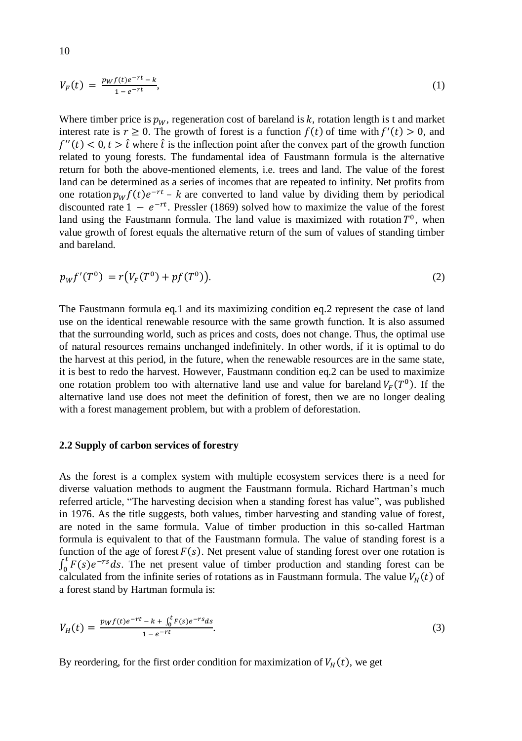$$
V_F(t) = \frac{p_W f(t)e^{-rt} - k}{1 - e^{-rt}},
$$
\n(1)

Where timber price is  $p_w$ , regeneration cost of bareland is k, rotation length is t and market interest rate is  $r \ge 0$ . The growth of forest is a function  $f(t)$  of time with  $f'(t) > 0$ , and  $f''(t) < 0, t > \hat{t}$  where  $\hat{t}$  is the inflection point after the convex part of the growth function related to young forests. The fundamental idea of Faustmann formula is the alternative return for both the above-mentioned elements, i.e. trees and land. The value of the forest land can be determined as a series of incomes that are repeated to infinity. Net profits from one rotation  $p_W f(t) e^{-rt}$  – k are converted to land value by dividing them by periodical discounted rate  $1 - e^{-rt}$ . Pressler (1869) solved how to maximize the value of the forest land using the Faustmann formula. The land value is maximized with rotation  $T^0$ , when value growth of forest equals the alternative return of the sum of values of standing timber and bareland.

$$
p_W f'(T^0) = r(V_F(T^0) + pf(T^0)).
$$
\n(2)

The Faustmann formula eq.1 and its maximizing condition eq.2 represent the case of land use on the identical renewable resource with the same growth function. It is also assumed that the surrounding world, such as prices and costs, does not change. Thus, the optimal use of natural resources remains unchanged indefinitely. In other words, if it is optimal to do the harvest at this period, in the future, when the renewable resources are in the same state, it is best to redo the harvest. However, Faustmann condition eq.2 can be used to maximize one rotation problem too with alternative land use and value for bareland  $V_F(T^0)$ . If the alternative land use does not meet the definition of forest, then we are no longer dealing with a forest management problem, but with a problem of deforestation.

#### <span id="page-9-0"></span>**2.2 Supply of carbon services of forestry**

As the forest is a complex system with multiple ecosystem services there is a need for diverse valuation methods to augment the Faustmann formula. Richard Hartman's much referred article, "The harvesting decision when a standing forest has value", was published in 1976. As the title suggests, both values, timber harvesting and standing value of forest, are noted in the same formula. Value of timber production in this so-called Hartman formula is equivalent to that of the Faustmann formula. The value of standing forest is a function of the age of forest  $F(s)$ . Net present value of standing forest over one rotation is  $\int_0^t F(s) e^{-rs} ds$ . The net present value of timber production and standing forest can be calculated from the infinite series of rotations as in Faustmann formula. The value  $V_H(t)$  of a forest stand by Hartman formula is:

$$
V_H(t) = \frac{p_W f(t)e^{-rt} - k + \int_0^t F(s)e^{-rs}ds}{1 - e^{-rt}}.
$$
\n(3)

By reordering, for the first order condition for maximization of  $V_H(t)$ , we get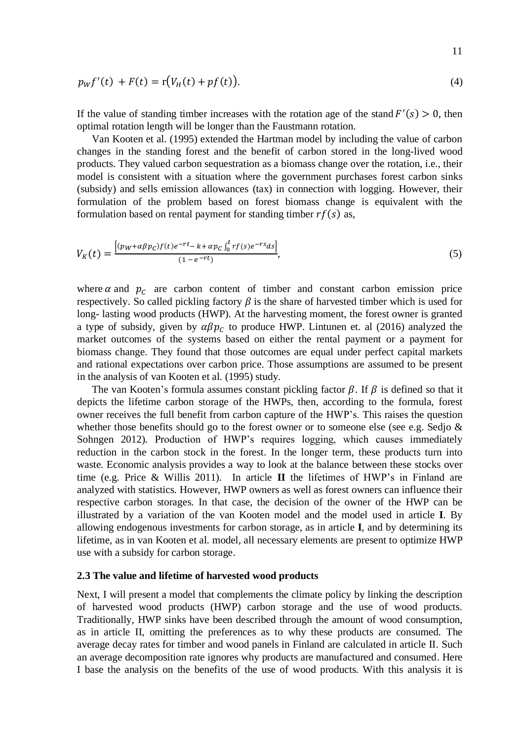$$
p_W f'(t) + F(t) = r(V_H(t) + pf(t)).
$$
\n(4)

If the value of standing timber increases with the rotation age of the stand  $F'(s) > 0$ , then optimal rotation length will be longer than the Faustmann rotation.

Van Kooten et al. (1995) extended the Hartman model by including the value of carbon changes in the standing forest and the benefit of carbon stored in the long-lived wood products. They valued carbon sequestration as a biomass change over the rotation, i.e., their model is consistent with a situation where the government purchases forest carbon sinks (subsidy) and sells emission allowances (tax) in connection with logging. However, their formulation of the problem based on forest biomass change is equivalent with the formulation based on rental payment for standing timber  $rf(s)$  as,

$$
V_K(t) = \frac{\left[ (p_W + \alpha \beta p_C) f(t) e^{-rt} - k + \alpha p_C \int_0^t r f(s) e^{-rs} ds \right]}{(1 - e^{-rt})},\tag{5}
$$

where  $\alpha$  and  $p_c$  are carbon content of timber and constant carbon emission price respectively. So called pickling factory  $\beta$  is the share of harvested timber which is used for long- lasting wood products (HWP). At the harvesting moment, the forest owner is granted a type of subsidy, given by  $\alpha\beta p_c$  to produce HWP. Lintunen et. al (2016) analyzed the market outcomes of the systems based on either the rental payment or a payment for biomass change. They found that those outcomes are equal under perfect capital markets and rational expectations over carbon price. Those assumptions are assumed to be present in the analysis of van Kooten et al. (1995) study.

The van Kooten's formula assumes constant pickling factor  $\beta$ . If  $\beta$  is defined so that it depicts the lifetime carbon storage of the HWPs, then, according to the formula, forest owner receives the full benefit from carbon capture of the HWP's. This raises the question whether those benefits should go to the forest owner or to someone else (see e.g. Sedjo  $\&$ Sohngen 2012). Production of HWP's requires logging, which causes immediately reduction in the carbon stock in the forest. In the longer term, these products turn into waste. Economic analysis provides a way to look at the balance between these stocks over time (e.g. Price & Willis 2011). In article **II** the lifetimes of HWP's in Finland are analyzed with statistics. However, HWP owners as well as forest owners can influence their respective carbon storages. In that case, the decision of the owner of the HWP can be illustrated by a variation of the van Kooten model and the model used in article **I**. By allowing endogenous investments for carbon storage, as in article **I**, and by determining its lifetime, as in van Kooten et al. model, all necessary elements are present to optimize HWP use with a subsidy for carbon storage.

#### <span id="page-10-0"></span>**2.3 The value and lifetime of harvested wood products**

Next, I will present a model that complements the climate policy by linking the description of harvested wood products (HWP) carbon storage and the use of wood products. Traditionally, HWP sinks have been described through the amount of wood consumption, as in article II, omitting the preferences as to why these products are consumed. The average decay rates for timber and wood panels in Finland are calculated in article II. Such an average decomposition rate ignores why products are manufactured and consumed. Here I base the analysis on the benefits of the use of wood products. With this analysis it is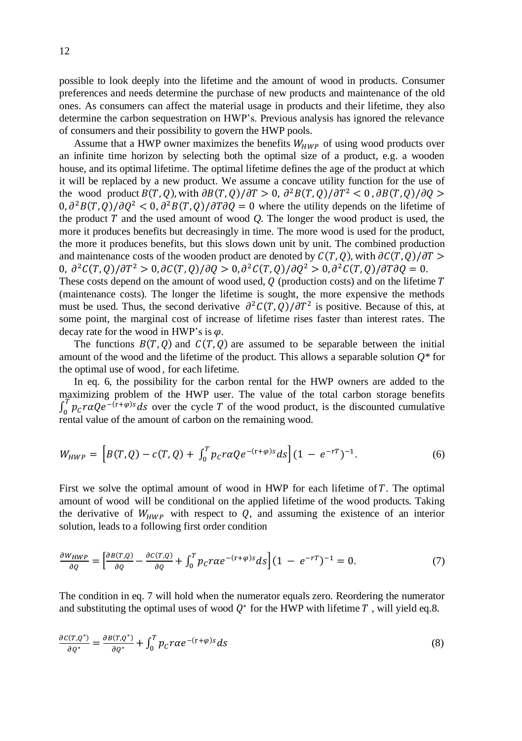possible to look deeply into the lifetime and the amount of wood in products. Consumer preferences and needs determine the purchase of new products and maintenance of the old ones. As consumers can affect the material usage in products and their lifetime, they also determine the carbon sequestration on HWP's. Previous analysis has ignored the relevance of consumers and their possibility to govern the HWP pools.

Assume that a HWP owner maximizes the benefits  $W_{HWP}$  of using wood products over an infinite time horizon by selecting both the optimal size of a product, e.g. a wooden house, and its optimal lifetime. The optimal lifetime defines the age of the product at which it will be replaced by a new product. We assume a concave utility function for the use of the wood product  $B(T, Q)$ , with  $\partial B(T, Q)/\partial T > 0$ ,  $\partial^2 B(T, Q)/\partial T^2 < 0$ ,  $\partial B(T, Q)/\partial Q > 0$  $0, \frac{\partial^2 B(T, Q)}{\partial Q^2}$  < 0,  $\frac{\partial^2 B(T, Q)}{\partial T \partial Q} = 0$  where the utility depends on the lifetime of the product  $T$  and the used amount of wood  $Q$ . The longer the wood product is used, the more it produces benefits but decreasingly in time. The more wood is used for the product, the more it produces benefits, but this slows down unit by unit. The combined production and maintenance costs of the wooden product are denoted by  $C(T, Q)$ , with  $\partial C(T, Q)/\partial T$ 0,  $\frac{\partial^2 C(T, Q)}{\partial T^2} > 0$ ,  $\frac{\partial C(T, Q)}{\partial Q} > 0$ ,  $\frac{\partial^2 C(T, Q)}{\partial Q^2} > 0$ ,  $\frac{\partial^2 C(T, Q)}{\partial T \partial Q} = 0$ . These costs depend on the amount of wood used,  $\hat{O}$  (production costs) and on the lifetime  $\hat{T}$ (maintenance costs). The longer the lifetime is sought, the more expensive the methods must be used. Thus, the second derivative  $\partial^2 C(T, Q)/\partial T^2$  is positive. Because of this, at some point, the marginal cost of increase of lifetime rises faster than interest rates. The

The functions  $B(T, 0)$  and  $C(T, 0)$  are assumed to be separable between the initial amount of the wood and the lifetime of the product. This allows a separable solution *Q\** for the optimal use of wood , for each lifetime.

decay rate for the wood in HWP's is  $\varphi$ .

In eq. 6, the possibility for the carbon rental for the HWP owners are added to the maximizing problem of the HWP user. The value of the total carbon storage benefits  $\int_0^T p_c r a Q e^{-(r+\varphi)s} ds$  over the cycle T of the wood product, is the discounted cumulative rental value of the amount of carbon on the remaining wood.

$$
W_{HWP} = \left[ B(T, Q) - c(T, Q) + \int_0^T p_c r \alpha Q e^{-(r+\varphi)s} ds \right] (1 - e^{-rT})^{-1}.
$$
 (6)

First we solve the optimal amount of wood in HWP for each lifetime of  $T$ . The optimal amount of wood will be conditional on the applied lifetime of the wood products. Taking the derivative of  $W_{HWP}$  with respect to Q, and assuming the existence of an interior solution, leads to a following first order condition

$$
\frac{\partial W_{HWP}}{\partial Q} = \left[ \frac{\partial B(T,Q)}{\partial Q} - \frac{\partial C(T,Q)}{\partial Q} + \int_0^T p_C r \alpha e^{-(r+\varphi)s} ds \right] (1 - e^{-rT})^{-1} = 0. \tag{7}
$$

The condition in eq. 7 will hold when the numerator equals zero. Reordering the numerator and substituting the optimal uses of wood  $Q^*$  for the HWP with lifetime T, will yield eq.8.

$$
\frac{\partial c(\tau, \varrho^*)}{\partial \varrho^*} = \frac{\partial B(\tau, \varrho^*)}{\partial \varrho^*} + \int_0^T p_C r \alpha e^{-(r+\varphi)s} ds \tag{8}
$$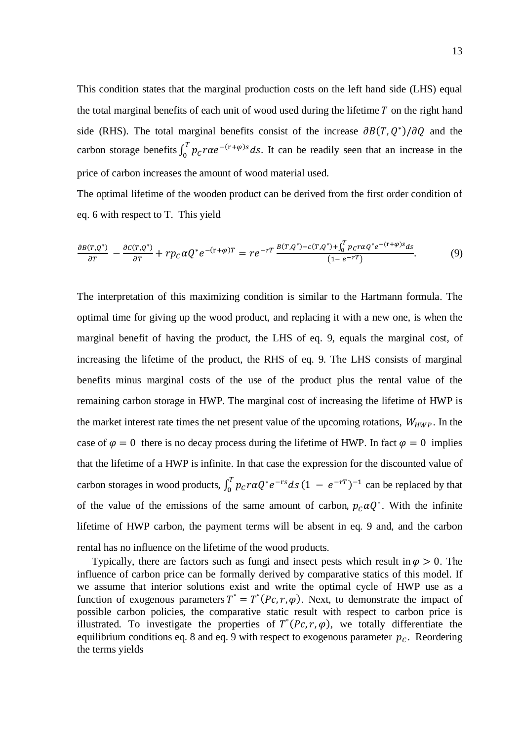This condition states that the marginal production costs on the left hand side (LHS) equal the total marginal benefits of each unit of wood used during the lifetime  $T$  on the right hand side (RHS). The total marginal benefits consist of the increase  $\partial B(T, Q^*)/\partial Q$  and the carbon storage benefits  $\int_0^T p_c r \alpha e^{-(r+\varphi)s} ds$ . It can be readily seen that an increase in the price of carbon increases the amount of wood material used.

The optimal lifetime of the wooden product can be derived from the first order condition of eq. 6 with respect to T. This yield

$$
\frac{\partial B(T,Q^*)}{\partial T} - \frac{\partial C(T,Q^*)}{\partial T} + r p_C \alpha Q^* e^{-(r+\varphi)T} = r e^{-rT} \frac{B(T,Q^*) - c(T,Q^*) + \int_0^T p_C r \alpha Q^* e^{-(r+\varphi)s} ds}{(1 - e^{-rT})}.
$$
(9)

The interpretation of this maximizing condition is similar to the Hartmann formula. The optimal time for giving up the wood product, and replacing it with a new one, is when the marginal benefit of having the product, the LHS of eq. 9, equals the marginal cost, of increasing the lifetime of the product, the RHS of eq. 9. The LHS consists of marginal benefits minus marginal costs of the use of the product plus the rental value of the remaining carbon storage in HWP. The marginal cost of increasing the lifetime of HWP is the market interest rate times the net present value of the upcoming rotations,  $W_{HWP}$ . In the case of  $\varphi = 0$  there is no decay process during the lifetime of HWP. In fact  $\varphi = 0$  implies that the lifetime of a HWP is infinite. In that case the expression for the discounted value of carbon storages in wood products,  $\int_0^T p_c r a Q^* e^{-rs} ds (1 - e^{-rT})^{-1}$  can be replaced by that of the value of the emissions of the same amount of carbon,  $p_c \alpha Q^*$ . With the infinite lifetime of HWP carbon, the payment terms will be absent in eq. 9 and, and the carbon rental has no influence on the lifetime of the wood products.

Typically, there are factors such as fungi and insect pests which result in  $\varphi > 0$ . The influence of carbon price can be formally derived by comparative statics of this model. If we assume that interior solutions exist and write the optimal cycle of HWP use as a function of exogenous parameters  $T^{\circ} = T^{\circ}(Pc, r, \varphi)$ . Next, to demonstrate the impact of possible carbon policies, the comparative static result with respect to carbon price is illustrated. To investigate the properties of  $T^{\circ}(Pc, r, \varphi)$ , we totally differentiate the equilibrium conditions eq. 8 and eq. 9 with respect to exogenous parameter  $p_c$ . Reordering the terms yields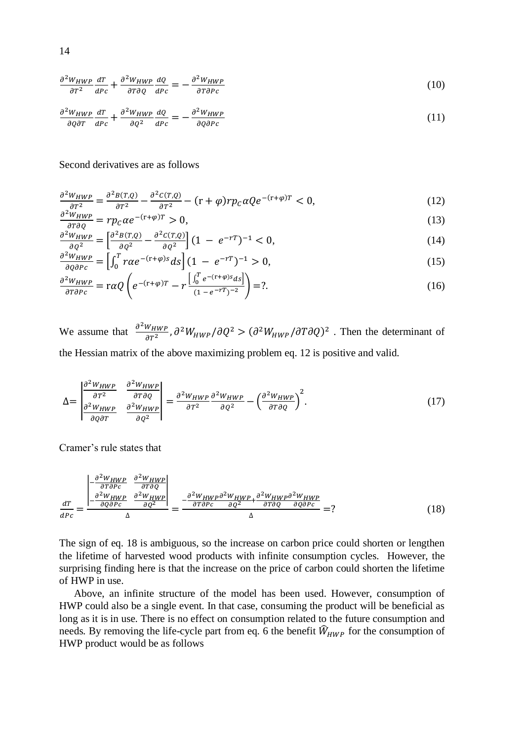$$
\frac{\partial^2 W_{HWP}}{\partial T^2} \frac{dT}{dPc} + \frac{\partial^2 W_{HWP}}{\partial T \partial Q} \frac{dQ}{dPc} = -\frac{\partial^2 W_{HWP}}{\partial T \partial Pc}
$$
(10)

$$
\frac{\partial^2 W_{HWP}}{\partial Q \partial T} \frac{dT}{dPc} + \frac{\partial^2 W_{HWP}}{\partial Q^2} \frac{dQ}{dPc} = -\frac{\partial^2 W_{HWP}}{\partial Q \partial Pc}
$$
(11)

Second derivatives are as follows

$$
\frac{\partial^2 W_{HWP}}{\partial T^2} = \frac{\partial^2 B(T,Q)}{\partial T^2} - \frac{\partial^2 C(T,Q)}{\partial T^2} - \left(\mathbf{r} + \varphi\right) r p_C \alpha Q e^{-(\mathbf{r} + \varphi)T} < 0,\tag{12}
$$

$$
\frac{\partial^2 W_{HWP}}{\partial T \partial O} = r p_C \alpha e^{-(r+\varphi)T} > 0,\tag{13}
$$

$$
\frac{\partial^2 W_{HWP}}{\partial q^2} = \left[ \frac{\partial^2 B(T, Q)}{\partial q^2} - \frac{\partial^2 C(T, Q)}{\partial q^2} \right] (1 - e^{-rT})^{-1} < 0,\tag{14}
$$

$$
\frac{\partial^2 W_{HWP}}{\partial Q \partial P c} = \left[ \int_0^T r \alpha e^{-(r+\varphi)s} ds \right] (1 - e^{-rT})^{-1} > 0, \tag{15}
$$

$$
\frac{\partial^2 W_{HWP}}{\partial T \partial P c} = r \alpha Q \left( e^{-(r+\varphi)\tau} - r \frac{\left[ \int_0^T e^{-(r+\varphi)s} ds \right]}{(1 - e^{-r\tau})^{-2}} \right) = ?.
$$
\n(16)

We assume that  $\frac{\partial^2 W_{HWP}}{\partial x^2}$  $\frac{WHWP}{\partial T^2}$ ,  $\partial^2 W_{HWP}/\partial Q^2 > (\partial^2 W_{HWP}/\partial T\partial Q)^2$ . Then the determinant of the Hessian matrix of the above maximizing problem eq. 12 is positive and valid.

$$
\Delta = \begin{vmatrix} \frac{\partial^2 W_{HWP}}{\partial T^2} & \frac{\partial^2 W_{HWP}}{\partial T \partial Q} \\ \frac{\partial^2 W_{HWP}}{\partial Q \partial T} & \frac{\partial^2 W_{HWP}}{\partial Q^2} \end{vmatrix} = \frac{\partial^2 W_{HWP}}{\partial T^2} \frac{\partial^2 W_{HWP}}{\partial Q^2} - \left(\frac{\partial^2 W_{HWP}}{\partial T \partial Q}\right)^2.
$$
(17)

Cramer's rule states that

$$
\frac{dT}{dPc} = \frac{\begin{vmatrix} -\frac{\partial^2 W_HWP}{\partial T\partial Pc} & \frac{\partial^2 W_{HWP}}{\partial T\partial Q} \\ \frac{\partial^2 W_HWP}{\partial Q\partial Pc} & \frac{\partial^2 W_{HWP}}{\partial Q^2} \end{vmatrix}}{\Delta} = \frac{-\frac{\partial^2 W_HWP}{\partial T\partial Pc} \frac{\partial^2 W_{HWP}\partial^2 W_{HWP}}{\partial Q^2} + \frac{\partial^2 W_{HWP}\partial^2 W_{HWP}}{\partial T\partial Q} \frac{\partial^2 W_{HWP}}{\partial Q\partial Pc}}{\Delta} = ?
$$
(18)

The sign of eq. 18 is ambiguous, so the increase on carbon price could shorten or lengthen the lifetime of harvested wood products with infinite consumption cycles. However, the surprising finding here is that the increase on the price of carbon could shorten the lifetime of HWP in use.

Above, an infinite structure of the model has been used. However, consumption of HWP could also be a single event. In that case, consuming the product will be beneficial as long as it is in use. There is no effect on consumption related to the future consumption and needs. By removing the life-cycle part from eq. 6 the benefit  $\widehat{W}_{HWP}$  for the consumption of HWP product would be as follows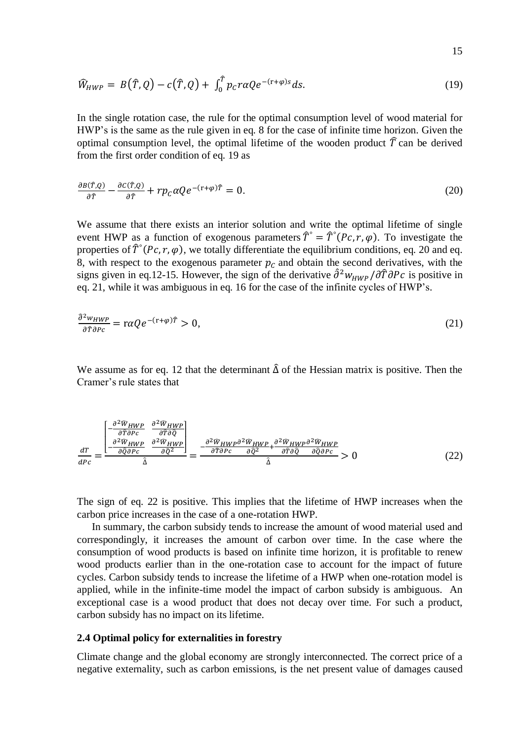$$
\widehat{W}_{HWP} = B(\widehat{T}, Q) - c(\widehat{T}, Q) + \int_0^{\widehat{T}} p_c r \alpha Q e^{-(r+\varphi)s} ds. \tag{19}
$$

In the single rotation case, the rule for the optimal consumption level of wood material for HWP's is the same as the rule given in eq. 8 for the case of infinite time horizon. Given the optimal consumption level, the optimal lifetime of the wooden product  $\hat{T}$  can be derived from the first order condition of eq. 19 as

$$
\frac{\partial B(\hat{T}, Q)}{\partial \hat{T}} - \frac{\partial C(\hat{T}, Q)}{\partial \hat{T}} + r p_C \alpha Q e^{-(r+\varphi)\hat{T}} = 0.
$$
\n(20)

We assume that there exists an interior solution and write the optimal lifetime of single event HWP as a function of exogenous parameters  $\hat{T}^{\circ} = \hat{T}^{\circ} (Pc, r, \varphi)$ . To investigate the properties of  $\hat{T}^{\circ}(Pc, r, \varphi)$ , we totally differentiate the equilibrium conditions, eq. 20 and eq. 8, with respect to the exogenous parameter  $p_c$  and obtain the second derivatives, with the signs given in eq.12-15. However, the sign of the derivative  $\hat{\partial}^2 w_{HWP}/\partial \hat{T}\partial Pc$  is positive in eq. 21, while it was ambiguous in eq. 16 for the case of the infinite cycles of HWP's.

$$
\frac{\partial^2 w_{HWP}}{\partial \hat{\tau}\partial P c} = r\alpha Q e^{-(r+\varphi)\hat{\tau}} > 0,
$$
\n(21)

We assume as for eq. 12 that the determinant  $\hat{\Delta}$  of the Hessian matrix is positive. Then the Cramer's rule states that

$$
\frac{d\tau}{dPc} = \frac{\begin{bmatrix} -\frac{\partial^2 \widehat{W}HWP}{\partial \widehat{T}\partial Pc} & \frac{\partial^2 \widehat{W}HWP}{\partial \widehat{T}\partial \widehat{Q}}\\ -\frac{\partial^2 \widehat{W}HWP}{\partial \widehat{Q}\partial Pc} & \frac{\partial^2 \widehat{W}HWP}{\partial \widehat{Q}^2} \end{bmatrix}}{\hat{\Delta}} = \frac{-\frac{\partial^2 \widehat{W}HWP}{\partial \widehat{T}\partial Pc} & \frac{\partial^2 \widehat{W}HWP}{\partial \widehat{Q}^2} + \frac{\partial^2 \widehat{W}HWP}{\partial \widehat{T}\partial \widehat{Q}} & \frac{\partial^2 \widehat{W}HWP}{\partial \widehat{Q}\partial Pc} > 0
$$
(22)

The sign of eq. 22 is positive. This implies that the lifetime of HWP increases when the carbon price increases in the case of a one-rotation HWP.

In summary, the carbon subsidy tends to increase the amount of wood material used and correspondingly, it increases the amount of carbon over time. In the case where the consumption of wood products is based on infinite time horizon, it is profitable to renew wood products earlier than in the one-rotation case to account for the impact of future cycles. Carbon subsidy tends to increase the lifetime of a HWP when one-rotation model is applied, while in the infinite-time model the impact of carbon subsidy is ambiguous. An exceptional case is a wood product that does not decay over time. For such a product, carbon subsidy has no impact on its lifetime.

### <span id="page-14-0"></span>**2.4 Optimal policy for externalities in forestry**

Climate change and the global economy are strongly interconnected. The correct price of a negative externality, such as carbon emissions, is the net present value of damages caused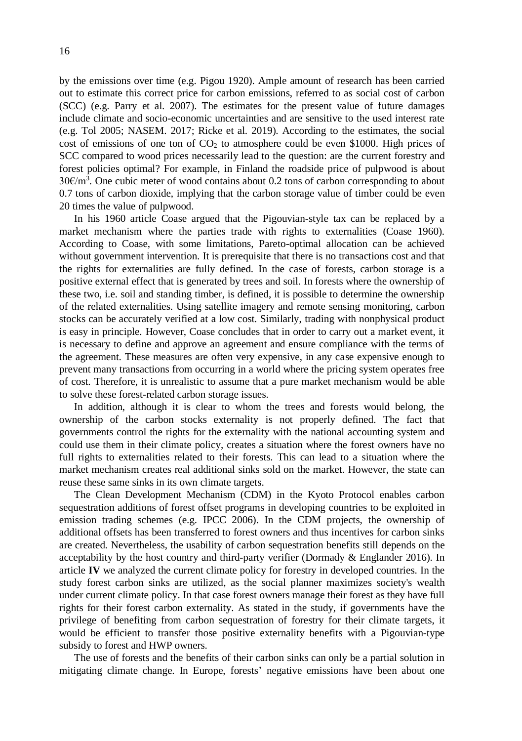by the emissions over time (e.g. Pigou 1920). Ample amount of research has been carried out to estimate this correct price for carbon emissions, referred to as social cost of carbon (SCC) (e.g. Parry et al. 2007). The estimates for the present value of future damages include climate and socio-economic uncertainties and are sensitive to the used interest rate (e.g. Tol 2005; NASEM. 2017; Ricke et al. 2019). According to the estimates, the social cost of emissions of one ton of  $CO<sub>2</sub>$  to atmosphere could be even \$1000. High prices of SCC compared to wood prices necessarily lead to the question: are the current forestry and forest policies optimal? For example, in Finland the roadside price of pulpwood is about 30 $€/m<sup>3</sup>$ . One cubic meter of wood contains about 0.2 tons of carbon corresponding to about 0.7 tons of carbon dioxide, implying that the carbon storage value of timber could be even 20 times the value of pulpwood.

In his 1960 article Coase argued that the Pigouvian-style tax can be replaced by a market mechanism where the parties trade with rights to externalities (Coase 1960). According to Coase, with some limitations, Pareto-optimal allocation can be achieved without government intervention. It is prerequisite that there is no transactions cost and that the rights for externalities are fully defined. In the case of forests, carbon storage is a positive external effect that is generated by trees and soil. In forests where the ownership of these two, i.e. soil and standing timber, is defined, it is possible to determine the ownership of the related externalities. Using satellite imagery and remote sensing monitoring, carbon stocks can be accurately verified at a low cost. Similarly, trading with nonphysical product is easy in principle. However, Coase concludes that in order to carry out a market event, it is necessary to define and approve an agreement and ensure compliance with the terms of the agreement. These measures are often very expensive, in any case expensive enough to prevent many transactions from occurring in a world where the pricing system operates free of cost. Therefore, it is unrealistic to assume that a pure market mechanism would be able to solve these forest-related carbon storage issues.

In addition, although it is clear to whom the trees and forests would belong, the ownership of the carbon stocks externality is not properly defined. The fact that governments control the rights for the externality with the national accounting system and could use them in their climate policy, creates a situation where the forest owners have no full rights to externalities related to their forests. This can lead to a situation where the market mechanism creates real additional sinks sold on the market. However, the state can reuse these same sinks in its own climate targets.

The Clean Development Mechanism (CDM) in the Kyoto Protocol enables carbon sequestration additions of forest offset programs in developing countries to be exploited in emission trading schemes (e.g. IPCC 2006). In the CDM projects, the ownership of additional offsets has been transferred to forest owners and thus incentives for carbon sinks are created. Nevertheless, the usability of carbon sequestration benefits still depends on the acceptability by the host country and third-party verifier (Dormady  $\&$  Englander 2016). In article **IV** we analyzed the current climate policy for forestry in developed countries. In the study forest carbon sinks are utilized, as the social planner maximizes society's wealth under current climate policy. In that case forest owners manage their forest as they have full rights for their forest carbon externality. As stated in the study, if governments have the privilege of benefiting from carbon sequestration of forestry for their climate targets, it would be efficient to transfer those positive externality benefits with a Pigouvian-type subsidy to forest and HWP owners.

The use of forests and the benefits of their carbon sinks can only be a partial solution in mitigating climate change. In Europe, forests' negative emissions have been about one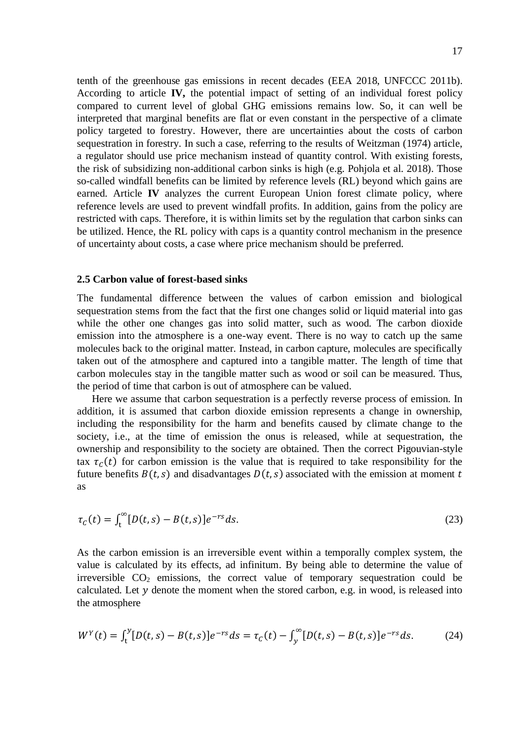tenth of the greenhouse gas emissions in recent decades (EEA 2018, UNFCCC 2011b). According to article **IV,** the potential impact of setting of an individual forest policy compared to current level of global GHG emissions remains low. So, it can well be interpreted that marginal benefits are flat or even constant in the perspective of a climate policy targeted to forestry. However, there are uncertainties about the costs of carbon sequestration in forestry. In such a case, referring to the results of Weitzman (1974) article, a regulator should use price mechanism instead of quantity control. With existing forests, the risk of subsidizing non-additional carbon sinks is high (e.g. Pohjola et al. 2018). Those so-called windfall benefits can be limited by reference levels (RL) beyond which gains are earned. Article **IV** analyzes the current European Union forest climate policy, where reference levels are used to prevent windfall profits. In addition, gains from the policy are restricted with caps. Therefore, it is within limits set by the regulation that carbon sinks can be utilized. Hence, the RL policy with caps is a quantity control mechanism in the presence of uncertainty about costs, a case where price mechanism should be preferred.

#### <span id="page-16-0"></span>**2.5 Carbon value of forest-based sinks**

The fundamental difference between the values of carbon emission and biological sequestration stems from the fact that the first one changes solid or liquid material into gas while the other one changes gas into solid matter, such as wood. The carbon dioxide emission into the atmosphere is a one-way event. There is no way to catch up the same molecules back to the original matter. Instead, in carbon capture, molecules are specifically taken out of the atmosphere and captured into a tangible matter. The length of time that carbon molecules stay in the tangible matter such as wood or soil can be measured. Thus, the period of time that carbon is out of atmosphere can be valued.

Here we assume that carbon sequestration is a perfectly reverse process of emission. In addition, it is assumed that carbon dioxide emission represents a change in ownership, including the responsibility for the harm and benefits caused by climate change to the society, i.e., at the time of emission the onus is released, while at sequestration, the ownership and responsibility to the society are obtained. Then the correct Pigouvian-style tax  $\tau_c(t)$  for carbon emission is the value that is required to take responsibility for the future benefits  $B(t, s)$  and disadvantages  $D(t, s)$  associated with the emission at moment t as

$$
\tau_c(t) = \int_t^{\infty} [D(t,s) - B(t,s)]e^{-rs}ds.
$$
\n(23)

As the carbon emission is an irreversible event within a temporally complex system, the value is calculated by its effects, ad infinitum. By being able to determine the value of irreversible  $CO<sub>2</sub>$  emissions, the correct value of temporary sequestration could be calculated. Let  $y$  denote the moment when the stored carbon, e.g. in wood, is released into the atmosphere

$$
W^{Y}(t) = \int_{t}^{y} [D(t,s) - B(t,s)]e^{-rs}ds = \tau_{C}(t) - \int_{y}^{\infty} [D(t,s) - B(t,s)]e^{-rs}ds.
$$
 (24)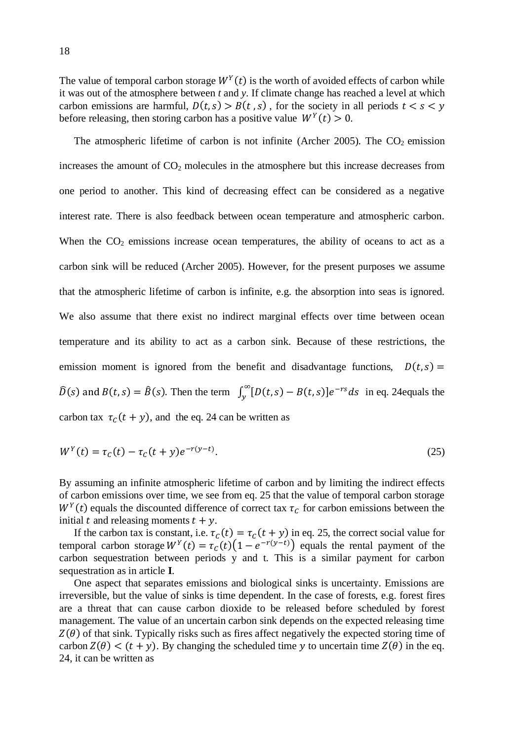The value of temporal carbon storage  $W<sup>Y</sup>(t)$  is the worth of avoided effects of carbon while it was out of the atmosphere between *t* and *y*. If climate change has reached a level at which carbon emissions are harmful,  $D(t, s) > B(t, s)$ , for the society in all periods  $t < s < y$ before releasing, then storing carbon has a positive value  $W^{Y}(t) > 0$ .

The atmospheric lifetime of carbon is not infinite (Archer 2005). The  $CO<sub>2</sub>$  emission increases the amount of  $CO<sub>2</sub>$  molecules in the atmosphere but this increase decreases from one period to another. This kind of decreasing effect can be considered as a negative interest rate. There is also feedback between ocean temperature and atmospheric carbon. When the  $CO<sub>2</sub>$  emissions increase ocean temperatures, the ability of oceans to act as a carbon sink will be reduced (Archer 2005). However, for the present purposes we assume that the atmospheric lifetime of carbon is infinite, e.g. the absorption into seas is ignored. We also assume that there exist no indirect marginal effects over time between ocean temperature and its ability to act as a carbon sink. Because of these restrictions, the emission moment is ignored from the benefit and disadvantage functions,  $D(t, s)$  =  $\widehat{D}(s)$  and  $B(t, s) = \widehat{B}(s)$ . Then the term  $\int_{y}^{\infty} [D(t, s) - B(t, s)] e^{-rs} ds$  in eq. 24 equals the carbon tax  $\tau_c(t + y)$ , and the eq. 24 can be written as

$$
W^{Y}(t) = \tau_{C}(t) - \tau_{C}(t + y)e^{-r(y - t)}.
$$
\n(25)

By assuming an infinite atmospheric lifetime of carbon and by limiting the indirect effects of carbon emissions over time, we see from eq. 25 that the value of temporal carbon storage  $W<sup>Y</sup>(t)$  equals the discounted difference of correct tax  $\tau_c$  for carbon emissions between the initial  $t$  and releasing moments  $t + y$ .

If the carbon tax is constant, i.e.  $\tau_c(t) = \tau_c(t + y)$  in eq. 25, the correct social value for temporal carbon storage  $W^{Y}(t) = \tau_{C}(t) \left(1 - e^{-r(y-t)}\right)$  equals the rental payment of the carbon sequestration between periods y and t. This is a similar payment for carbon sequestration as in article **I**.

One aspect that separates emissions and biological sinks is uncertainty. Emissions are irreversible, but the value of sinks is time dependent. In the case of forests, e.g. forest fires are a threat that can cause carbon dioxide to be released before scheduled by forest management. The value of an uncertain carbon sink depends on the expected releasing time  $Z(\theta)$  of that sink. Typically risks such as fires affect negatively the expected storing time of carbon  $Z(\theta) < (t + y)$ . By changing the scheduled time y to uncertain time  $Z(\theta)$  in the eq. 24, it can be written as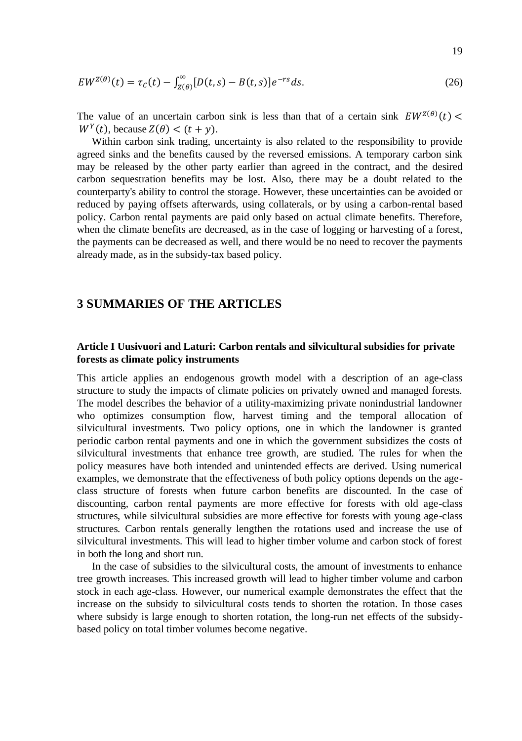$$
EW^{Z(\theta)}(t) = \tau_C(t) - \int_{Z(\theta)}^{\infty} [D(t,s) - B(t,s)]e^{-rs}ds.
$$
 (26)

The value of an uncertain carbon sink is less than that of a certain sink  $EW^{Z(\theta)}(t)$  <  $W<sup>Y</sup>(t)$ , because  $Z(\theta) < (t + y)$ .

Within carbon sink trading, uncertainty is also related to the responsibility to provide agreed sinks and the benefits caused by the reversed emissions. A temporary carbon sink may be released by the other party earlier than agreed in the contract, and the desired carbon sequestration benefits may be lost. Also, there may be a doubt related to the counterparty's ability to control the storage. However, these uncertainties can be avoided or reduced by paying offsets afterwards, using collaterals, or by using a carbon-rental based policy. Carbon rental payments are paid only based on actual climate benefits. Therefore, when the climate benefits are decreased, as in the case of logging or harvesting of a forest, the payments can be decreased as well, and there would be no need to recover the payments already made, as in the subsidy-tax based policy.

### <span id="page-18-0"></span>**3 SUMMARIES OF THE ARTICLES**

### <span id="page-18-1"></span>**Article I Uusivuori and Laturi: Carbon rentals and silvicultural subsidies for private forests as climate policy instruments**

This article applies an endogenous growth model with a description of an age-class structure to study the impacts of climate policies on privately owned and managed forests. The model describes the behavior of a utility-maximizing private nonindustrial landowner who optimizes consumption flow, harvest timing and the temporal allocation of silvicultural investments. Two policy options, one in which the landowner is granted periodic carbon rental payments and one in which the government subsidizes the costs of silvicultural investments that enhance tree growth, are studied. The rules for when the policy measures have both intended and unintended effects are derived. Using numerical examples, we demonstrate that the effectiveness of both policy options depends on the ageclass structure of forests when future carbon benefits are discounted. In the case of discounting, carbon rental payments are more effective for forests with old age-class structures, while silvicultural subsidies are more effective for forests with young age-class structures. Carbon rentals generally lengthen the rotations used and increase the use of silvicultural investments. This will lead to higher timber volume and carbon stock of forest in both the long and short run.

In the case of subsidies to the silvicultural costs, the amount of investments to enhance tree growth increases. This increased growth will lead to higher timber volume and carbon stock in each age-class. However, our numerical example demonstrates the effect that the increase on the subsidy to silvicultural costs tends to shorten the rotation. In those cases where subsidy is large enough to shorten rotation, the long-run net effects of the subsidybased policy on total timber volumes become negative.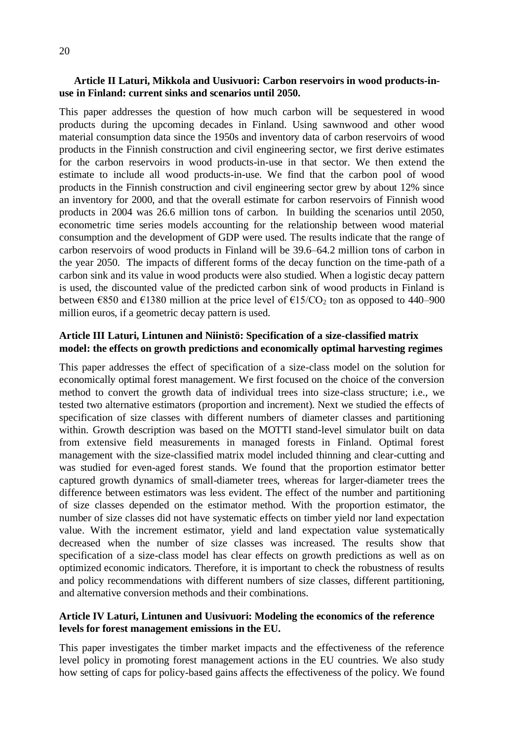### <span id="page-19-0"></span>**Article II Laturi, Mikkola and Uusivuori: Carbon reservoirs in wood products-inuse in Finland: current sinks and scenarios until 2050.**

This paper addresses the question of how much carbon will be sequestered in wood products during the upcoming decades in Finland. Using sawnwood and other wood material consumption data since the 1950s and inventory data of carbon reservoirs of wood products in the Finnish construction and civil engineering sector, we first derive estimates for the carbon reservoirs in wood products-in-use in that sector. We then extend the estimate to include all wood products-in-use. We find that the carbon pool of wood products in the Finnish construction and civil engineering sector grew by about 12% since an inventory for 2000, and that the overall estimate for carbon reservoirs of Finnish wood products in 2004 was 26.6 million tons of carbon. In building the scenarios until 2050, econometric time series models accounting for the relationship between wood material consumption and the development of GDP were used. The results indicate that the range of carbon reservoirs of wood products in Finland will be 39.6–64.2 million tons of carbon in the year 2050. The impacts of different forms of the decay function on the time-path of a carbon sink and its value in wood products were also studied. When a logistic decay pattern is used, the discounted value of the predicted carbon sink of wood products in Finland is between  $\epsilon$ 850 and  $\epsilon$ 1380 million at the price level of  $\epsilon$ 15/CO<sub>2</sub> ton as opposed to 440–900 million euros, if a geometric decay pattern is used.

#### <span id="page-19-1"></span>**Article III Laturi, Lintunen and Niinistö: Specification of a size-classified matrix model: the effects on growth predictions and economically optimal harvesting regimes**

This paper addresses the effect of specification of a size-class model on the solution for economically optimal forest management. We first focused on the choice of the conversion method to convert the growth data of individual trees into size-class structure; i.e., we tested two alternative estimators (proportion and increment). Next we studied the effects of specification of size classes with different numbers of diameter classes and partitioning within. Growth description was based on the MOTTI stand-level simulator built on data from extensive field measurements in managed forests in Finland. Optimal forest management with the size-classified matrix model included thinning and clear-cutting and was studied for even-aged forest stands. We found that the proportion estimator better captured growth dynamics of small-diameter trees, whereas for larger-diameter trees the difference between estimators was less evident. The effect of the number and partitioning of size classes depended on the estimator method. With the proportion estimator, the number of size classes did not have systematic effects on timber yield nor land expectation value. With the increment estimator, yield and land expectation value systematically decreased when the number of size classes was increased. The results show that specification of a size-class model has clear effects on growth predictions as well as on optimized economic indicators. Therefore, it is important to check the robustness of results and policy recommendations with different numbers of size classes, different partitioning, and alternative conversion methods and their combinations.

### <span id="page-19-2"></span>**Article IV Laturi, Lintunen and Uusivuori: Modeling the economics of the reference levels for forest management emissions in the EU.**

This paper investigates the timber market impacts and the effectiveness of the reference level policy in promoting forest management actions in the EU countries. We also study how setting of caps for policy-based gains affects the effectiveness of the policy. We found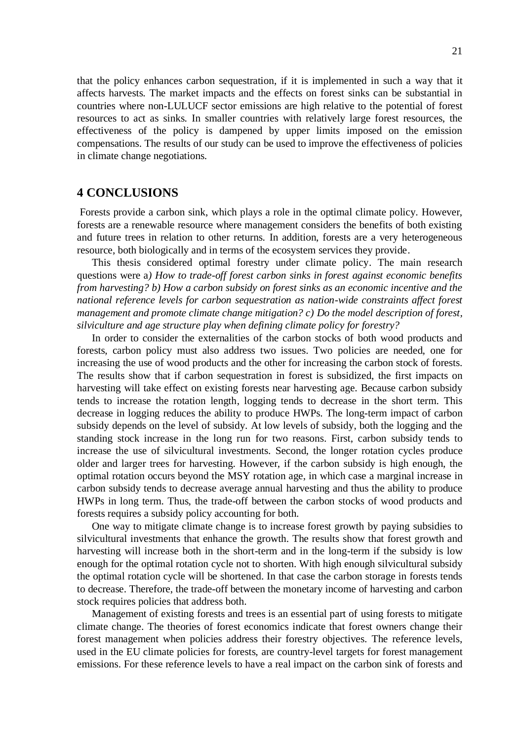that the policy enhances carbon sequestration, if it is implemented in such a way that it affects harvests. The market impacts and the effects on forest sinks can be substantial in countries where non-LULUCF sector emissions are high relative to the potential of forest resources to act as sinks. In smaller countries with relatively large forest resources, the effectiveness of the policy is dampened by upper limits imposed on the emission compensations. The results of our study can be used to improve the effectiveness of policies in climate change negotiations.

### <span id="page-20-0"></span>**4 CONCLUSIONS**

Forests provide a carbon sink, which plays a role in the optimal climate policy. However, forests are a renewable resource where management considers the benefits of both existing and future trees in relation to other returns. In addition, forests are a very heterogeneous resource, both biologically and in terms of the ecosystem services they provide.

This thesis considered optimal forestry under climate policy. The main research questions were a*) How to trade-off forest carbon sinks in forest against economic benefits from harvesting? b) How a carbon subsidy on forest sinks as an economic incentive and the national reference levels for carbon sequestration as nation-wide constraints affect forest management and promote climate change mitigation? c) Do the model description of forest, silviculture and age structure play when defining climate policy for forestry?*

In order to consider the externalities of the carbon stocks of both wood products and forests, carbon policy must also address two issues. Two policies are needed, one for increasing the use of wood products and the other for increasing the carbon stock of forests. The results show that if carbon sequestration in forest is subsidized, the first impacts on harvesting will take effect on existing forests near harvesting age. Because carbon subsidy tends to increase the rotation length, logging tends to decrease in the short term. This decrease in logging reduces the ability to produce HWPs. The long-term impact of carbon subsidy depends on the level of subsidy. At low levels of subsidy, both the logging and the standing stock increase in the long run for two reasons. First, carbon subsidy tends to increase the use of silvicultural investments. Second, the longer rotation cycles produce older and larger trees for harvesting. However, if the carbon subsidy is high enough, the optimal rotation occurs beyond the MSY rotation age, in which case a marginal increase in carbon subsidy tends to decrease average annual harvesting and thus the ability to produce HWPs in long term. Thus, the trade-off between the carbon stocks of wood products and forests requires a subsidy policy accounting for both.

One way to mitigate climate change is to increase forest growth by paying subsidies to silvicultural investments that enhance the growth. The results show that forest growth and harvesting will increase both in the short-term and in the long-term if the subsidy is low enough for the optimal rotation cycle not to shorten. With high enough silvicultural subsidy the optimal rotation cycle will be shortened. In that case the carbon storage in forests tends to decrease. Therefore, the trade-off between the monetary income of harvesting and carbon stock requires policies that address both.

Management of existing forests and trees is an essential part of using forests to mitigate climate change. The theories of forest economics indicate that forest owners change their forest management when policies address their forestry objectives. The reference levels, used in the EU climate policies for forests, are country-level targets for forest management emissions. For these reference levels to have a real impact on the carbon sink of forests and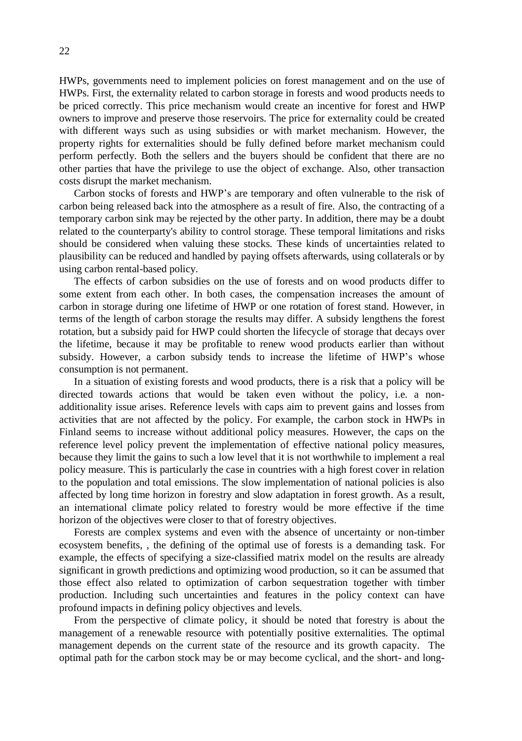HWPs, governments need to implement policies on forest management and on the use of HWPs. First, the externality related to carbon storage in forests and wood products needs to be priced correctly. This price mechanism would create an incentive for forest and HWP owners to improve and preserve those reservoirs. The price for externality could be created with different ways such as using subsidies or with market mechanism. However, the property rights for externalities should be fully defined before market mechanism could perform perfectly. Both the sellers and the buyers should be confident that there are no other parties that have the privilege to use the object of exchange. Also, other transaction costs disrupt the market mechanism.

Carbon stocks of forests and HWP's are temporary and often vulnerable to the risk of carbon being released back into the atmosphere as a result of fire. Also, the contracting of a temporary carbon sink may be rejected by the other party. In addition, there may be a doubt related to the counterparty's ability to control storage. These temporal limitations and risks should be considered when valuing these stocks. These kinds of uncertainties related to plausibility can be reduced and handled by paying offsets afterwards, using collaterals or by using carbon rental-based policy.

The effects of carbon subsidies on the use of forests and on wood products differ to some extent from each other. In both cases, the compensation increases the amount of carbon in storage during one lifetime of HWP or one rotation of forest stand. However, in terms of the length of carbon storage the results may differ. A subsidy lengthens the forest rotation, but a subsidy paid for HWP could shorten the lifecycle of storage that decays over the lifetime, because it may be profitable to renew wood products earlier than without subsidy. However, a carbon subsidy tends to increase the lifetime of HWP's whose consumption is not permanent.

In a situation of existing forests and wood products, there is a risk that a policy will be directed towards actions that would be taken even without the policy, i.e. a nonadditionality issue arises. Reference levels with caps aim to prevent gains and losses from activities that are not affected by the policy. For example, the carbon stock in HWPs in Finland seems to increase without additional policy measures. However, the caps on the reference level policy prevent the implementation of effective national policy measures, because they limit the gains to such a low level that it is not worthwhile to implement a real policy measure. This is particularly the case in countries with a high forest cover in relation to the population and total emissions. The slow implementation of national policies is also affected by long time horizon in forestry and slow adaptation in forest growth. As a result, an international climate policy related to forestry would be more effective if the time horizon of the objectives were closer to that of forestry objectives.

Forests are complex systems and even with the absence of uncertainty or non-timber ecosystem benefits, , the defining of the optimal use of forests is a demanding task. For example, the effects of specifying a size-classified matrix model on the results are already significant in growth predictions and optimizing wood production, so it can be assumed that those effect also related to optimization of carbon sequestration together with timber production. Including such uncertainties and features in the policy context can have profound impacts in defining policy objectives and levels.

From the perspective of climate policy, it should be noted that forestry is about the management of a renewable resource with potentially positive externalities. The optimal management depends on the current state of the resource and its growth capacity. The optimal path for the carbon stock may be or may become cyclical, and the short- and long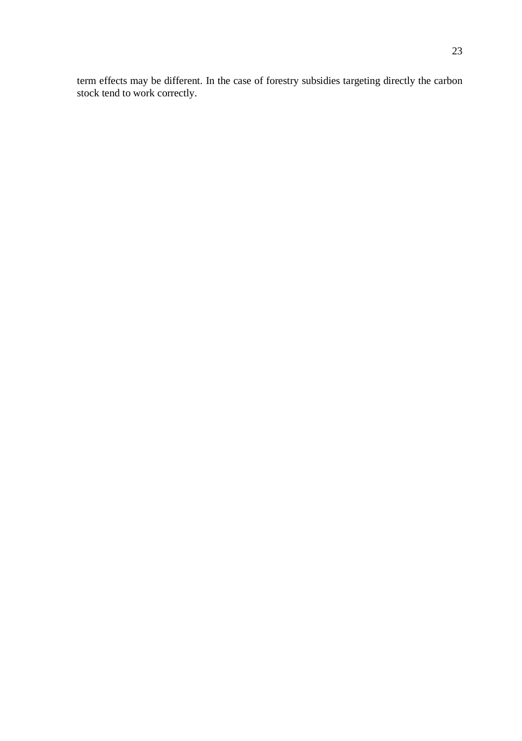term effects may be different. In the case of forestry subsidies targeting directly the carbon stock tend to work correctly.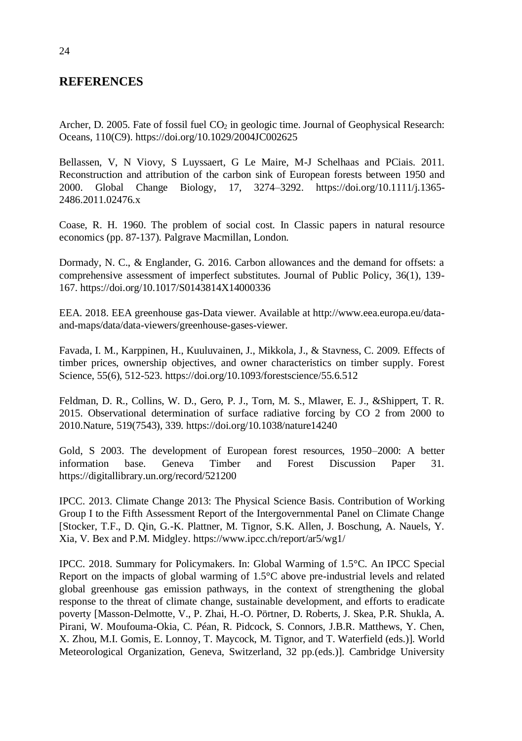### <span id="page-23-0"></span>**REFERENCES**

Archer, D. 2005. Fate of fossil fuel  $CO<sub>2</sub>$  in geologic time. Journal of Geophysical Research: Oceans, 110(C9). <https://doi.org/10.1029/2004JC002625>

Bellassen, V, N Viovy, S Luyssaert, G Le Maire, M-J Schelhaas and PCiais. 2011. Reconstruction and attribution of the carbon sink of European forests between 1950 and 2000. Global Change Biology, 17, 3274–3292. [https://doi.org/10.1111/j.1365-](https://doi.org/10.1111/j.1365-2486.2011.02476.x) [2486.2011.02476.x](https://doi.org/10.1111/j.1365-2486.2011.02476.x)

Coase, R. H. 1960. The problem of social cost. In Classic papers in natural resource economics (pp. 87-137). Palgrave Macmillan, London.

Dormady, N. C., & Englander, G. 2016. Carbon allowances and the demand for offsets: a comprehensive assessment of imperfect substitutes. Journal of Public Policy, 36(1), 139- 167. <https://doi.org/10.1017/S0143814X14000336>

EEA. 2018. EEA greenhouse gas-Data viewer. Available at [http://www.eea.europa.eu/data](http://www.eea.europa.eu/data-and-maps/data/data-viewers/greenhouse-gases-viewer)[and-maps/data/data-viewers/greenhouse-gases-viewer.](http://www.eea.europa.eu/data-and-maps/data/data-viewers/greenhouse-gases-viewer)

Favada, I. M., Karppinen, H., Kuuluvainen, J., Mikkola, J., & Stavness, C. 2009. Effects of timber prices, ownership objectives, and owner characteristics on timber supply. Forest Science, 55(6), 512-523. <https://doi.org/10.1093/forestscience/55.6.512>

Feldman, D. R., Collins, W. D., Gero, P. J., Torn, M. S., Mlawer, E. J., &Shippert, T. R. 2015. Observational determination of surface radiative forcing by CO 2 from 2000 to 2010.Nature, 519(7543), 339. <https://doi.org/10.1038/nature14240>

Gold, S 2003. The development of European forest resources, 1950–2000: A better information base. Geneva Timber and Forest Discussion Paper 31. <https://digitallibrary.un.org/record/521200>

IPCC. 2013. Climate Change 2013: The Physical Science Basis. Contribution of Working Group I to the Fifth Assessment Report of the Intergovernmental Panel on Climate Change [Stocker, T.F., D. Qin, G.-K. Plattner, M. Tignor, S.K. Allen, J. Boschung, A. Nauels, Y. Xia, V. Bex and P.M. Midgley[. https://www.ipcc.ch/report/ar5/wg1/](https://www.ipcc.ch/report/ar5/wg1/)

IPCC. 2018. Summary for Policymakers. In: Global Warming of 1.5°C. An IPCC Special Report on the impacts of global warming of 1.5°C above pre-industrial levels and related global greenhouse gas emission pathways, in the context of strengthening the global response to the threat of climate change, sustainable development, and efforts to eradicate poverty [Masson-Delmotte, V., P. Zhai, H.-O. Pörtner, D. Roberts, J. Skea, P.R. Shukla, A. Pirani, W. Moufouma-Okia, C. Péan, R. Pidcock, S. Connors, J.B.R. Matthews, Y. Chen, X. Zhou, M.I. Gomis, E. Lonnoy, T. Maycock, M. Tignor, and T. Waterfield (eds.)]. World Meteorological Organization, Geneva, Switzerland, 32 pp.(eds.)]. Cambridge University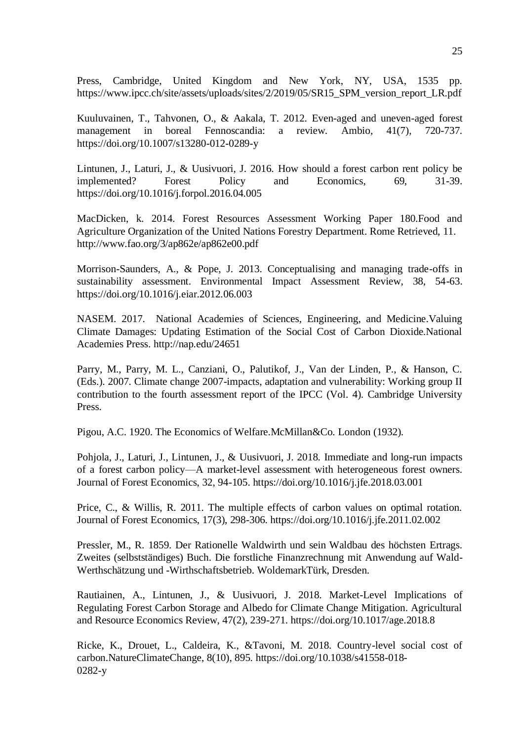Press, Cambridge, United Kingdom and New York, NY, USA, 1535 pp. [https://www.ipcc.ch/site/assets/uploads/sites/2/2019/05/SR15\\_SPM\\_version\\_report\\_LR.pdf](https://www.ipcc.ch/site/assets/uploads/sites/2/2019/05/SR15_SPM_version_report_LR.pdf)

Kuuluvainen, T., Tahvonen, O., & Aakala, T. 2012. Even-aged and uneven-aged forest management in boreal Fennoscandia: a review. Ambio, 41(7), 720-737. <https://doi.org/10.1007/s13280-012-0289-y>

Lintunen, J., Laturi, J., & Uusivuori, J. 2016. How should a forest carbon rent policy be implemented? Forest Policy and Economics, 69, 31-39. <https://doi.org/10.1016/j.forpol.2016.04.005>

MacDicken, k. 2014. Forest Resources Assessment Working Paper 180.Food and Agriculture Organization of the United Nations Forestry Department. Rome Retrieved, 11. <http://www.fao.org/3/ap862e/ap862e00.pdf>

Morrison-Saunders, A., & Pope, J. 2013. Conceptualising and managing trade-offs in sustainability assessment. Environmental Impact Assessment Review, 38, 54-63. <https://doi.org/10.1016/j.eiar.2012.06.003>

NASEM. 2017. National Academies of Sciences, Engineering, and Medicine.Valuing Climate Damages: Updating Estimation of the Social Cost of Carbon Dioxide.National Academies Press. <http://nap.edu/24651>

Parry, M., Parry, M. L., Canziani, O., Palutikof, J., Van der Linden, P., & Hanson, C. (Eds.). 2007. Climate change 2007-impacts, adaptation and vulnerability: Working group II contribution to the fourth assessment report of the IPCC (Vol. 4). Cambridge University Press.

Pigou, A.C. 1920. The Economics of Welfare.McMillan&Co. London (1932).

Pohjola, J., Laturi, J., Lintunen, J., & Uusivuori, J. 2018. Immediate and long-run impacts of a forest carbon policy—A market-level assessment with heterogeneous forest owners. Journal of Forest Economics, 32, 94-105. <https://doi.org/10.1016/j.jfe.2018.03.001>

Price, C., & Willis, R. 2011. The multiple effects of carbon values on optimal rotation. Journal of Forest Economics, 17(3), 298-306. <https://doi.org/10.1016/j.jfe.2011.02.002>

Pressler, M., R. 1859. Der Rationelle Waldwirth und sein Waldbau des höchsten Ertrags. Zweites (selbstständiges) Buch. Die forstliche Finanzrechnung mit Anwendung auf Wald-Werthschätzung und -Wirthschaftsbetrieb. WoldemarkTürk, Dresden.

Rautiainen, A., Lintunen, J., & Uusivuori, J. 2018. Market-Level Implications of Regulating Forest Carbon Storage and Albedo for Climate Change Mitigation. Agricultural and Resource Economics Review, 47(2), 239-27[1. https://doi.org/10.1017/age.2018.8](file://///lukefile1.ns.luke.fi/laturi/Metla/Väikkäri/PainettuFinalVersio/.%20https:/doi.org/10.1017/age.2018.8)

Ricke, K., Drouet, L., Caldeira, K., &Tavoni, M. 2018. Country-level social cost of carbon.NatureClimateChange, 8(10), 895. [https://doi.org/10.1038/s41558-018-](https://doi.org/10.1038/s41558-018-0282-y) [0282-y](https://doi.org/10.1038/s41558-018-0282-y)